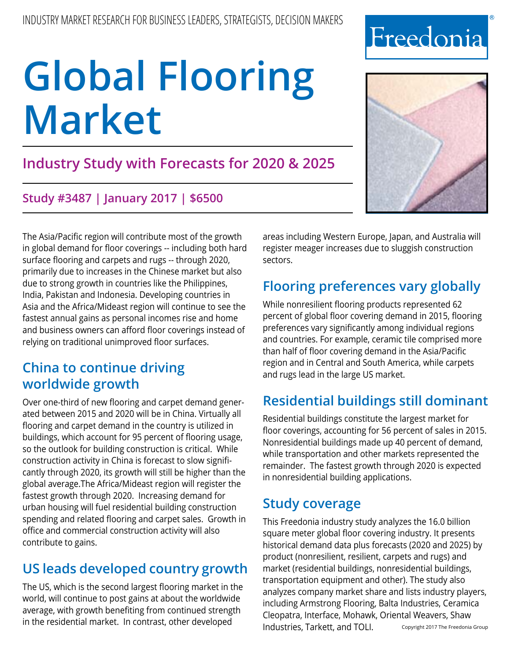## **Industry Study with Forecasts for 2020 & 2025**

## **Study #3487 | January 2017 | \$6500**

The Asia/Pacific region will contribute most of the growth in global demand for floor coverings -- including both hard surface flooring and carpets and rugs -- through 2020, primarily due to increases in the Chinese market but also due to strong growth in countries like the Philippines, India, Pakistan and Indonesia. Developing countries in Asia and the Africa/Mideast region will continue to see the fastest annual gains as personal incomes rise and home and business owners can afford floor coverings instead of relying on traditional unimproved floor surfaces.

## **China to continue driving worldwide growth**

Over one-third of new flooring and carpet demand generated between 2015 and 2020 will be in China. Virtually all flooring and carpet demand in the country is utilized in buildings, which account for 95 percent of flooring usage, so the outlook for building construction is critical. While construction activity in China is forecast to slow significantly through 2020, its growth will still be higher than the global average.The Africa/Mideast region will register the fastest growth through 2020. Increasing demand for urban housing will fuel residential building construction spending and related flooring and carpet sales. Growth in office and commercial construction activity will also contribute to gains.

## **US leads developed country growth**

The US, which is the second largest flooring market in the world, will continue to post gains at about the worldwide average, with growth benefiting from continued strength in the residential market. In contrast, other developed

areas including Western Europe, Japan, and Australia will register meager increases due to sluggish construction sectors.

## **Flooring preferences vary globally**

While nonresilient flooring products represented 62 percent of global floor covering demand in 2015, flooring preferences vary significantly among individual regions and countries. For example, ceramic tile comprised more than half of floor covering demand in the Asia/Pacific region and in Central and South America, while carpets and rugs lead in the large US market.

## **Residential buildings still dominant**

Residential buildings constitute the largest market for floor coverings, accounting for 56 percent of sales in 2015. Nonresidential buildings made up 40 percent of demand, while transportation and other markets represented the remainder. The fastest growth through 2020 is expected in nonresidential building applications.

## **Study coverage**

This Freedonia industry study analyzes the 16.0 billion square meter global floor covering industry. It presents historical demand data plus forecasts (2020 and 2025) by product (nonresilient, resilient, carpets and rugs) and market (residential buildings, nonresidential buildings, transportation equipment and other). The study also analyzes company market share and lists industry players, including Armstrong Flooring, Balta Industries, Ceramica Cleopatra, Interface, Mohawk, Oriental Weavers, Shaw Industries, Tarkett, and TOLI. Copyright 2017 The Freedonia Group



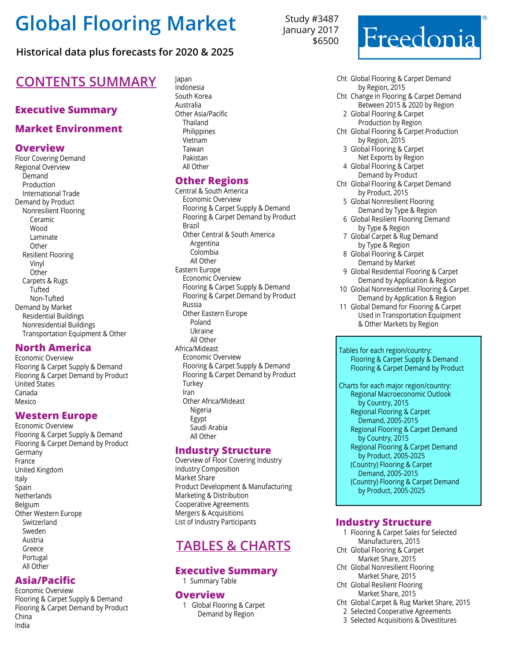### **Historical data plus forecasts for 2020 & 2025**

## **CONTENTS SUMMARY**

#### **Executive Summary**

#### **Market Environment**

#### **Overview**

Floor Covering Demand Regional Overview Demand Production International Trade Demand by Product Nonresilient Flooring Ceramic Wood Laminate **Other** Resilient Flooring Vinyl **Other** Carpets & Rugs **Tufted** Non-Tufted Demand by Market Residential Buildings Nonresidential Buildings Transportation Equipment & Other

#### **North America**

Economic Overview Flooring & Carpet Supply & Demand Flooring & Carpet Demand by Product United States Canada Mexico

#### **Western Europe**

Economic Overview Flooring & Carpet Supply & Demand Flooring & Carpet Demand by Product Germany France United Kingdom Italy Spain **Netherlands** Belgium Other Western Europe Switzerland Sweden Austria Greece Portugal All Other

#### **Asia/Pacific**

Economic Overview Flooring & Carpet Supply & Demand Flooring & Carpet Demand by Product China India

Indonesia South Korea Australia Other Asia/Pacific Thailand **Philippines** Vietnam Taiwan Pakistan All Other

#### **Other Regions**

Central & South America Economic Overview Flooring & Carpet Supply & Demand Flooring & Carpet Demand by Product Brazil Other Central & South America Argentina Colombia All Other Eastern Europe Economic Overview Flooring & Carpet Supply & Demand Flooring & Carpet Demand by Product Russia Other Eastern Europe Poland Ukraine All Other Africa/Mideast Economic Overview Flooring & Carpet Supply & Demand Flooring & Carpet Demand by Product **Turkey** Iran Other Africa/Mideast Nigeria Egypt Saudi Arabia All Other

#### **Industry Structure**

Overview of Floor Covering Industry Industry Composition Market Share Product Development & Manufacturing Marketing & Distribution Cooperative Agreements Mergers & Acquisitions List of Industry Participants

## **Tables & Charts**

#### **Executive Summary**

1 Summary Table

#### **Overview**

1 Global Flooring & Carpet Demand by Region

Study #3487 January 2017 \$6500



- Cht Global Flooring & Carpet Demand by Region, 2015
- Cht Change in Flooring & Carpet Demand Between 2015 & 2020 by Region
	- 2 Global Flooring & Carpet Production by Region
- Cht Global Flooring & Carpet Production by Region, 2015
	- 3 Global Flooring & Carpet Net Exports by Region
	- 4 Global Flooring & Carpet Demand by Product
- Cht Global Flooring & Carpet Demand by Product, 2015
	- 5 Global Nonresilient Flooring Demand by Type & Region
- 6 Global Resilient Flooring Demand by Type & Region
- 7 Global Carpet & Rug Demand by Type & Region
- 8 Global Flooring & Carpet Demand by Market
- 9 Global Residential Flooring & Carpet Demand by Application & Region
- 10 Global Nonresidential Flooring & Carpet Demand by Application & Region
- 11 Global Demand for Flooring & Carpet Used in Transportation Equipment & Other Markets by Region

 Tables for each region/country: Flooring & Carpet Supply & Demand Flooring & Carpet Demand by Product

 Charts for each major region/country: Regional Macroeconomic Outlook by Country, 2015 Regional Flooring & Carpet Demand, 2005-2015 Regional Flooring & Carpet Demand by Country, 2015 Regional Flooring & Carpet Demand by Product, 2005-2025 (Country) Flooring & Carpet Demand, 2005-2015 (Country) Flooring & Carpet Demand by Product, 2005-2025

#### **Industry Structure**

- 1 Flooring & Carpet Sales for Selected Manufacturers, 2015
- Cht Global Flooring & Carpet Market Share, 2015
- Cht Global Nonresilient Flooring Market Share, 2015
- Cht Global Resilient Flooring Market Share, 2015
- Cht Global Carpet & Rug Market Share, 2015
	- 2 Selected Cooperative Agreements
	- 3 Selected Acquisitions & Divestitures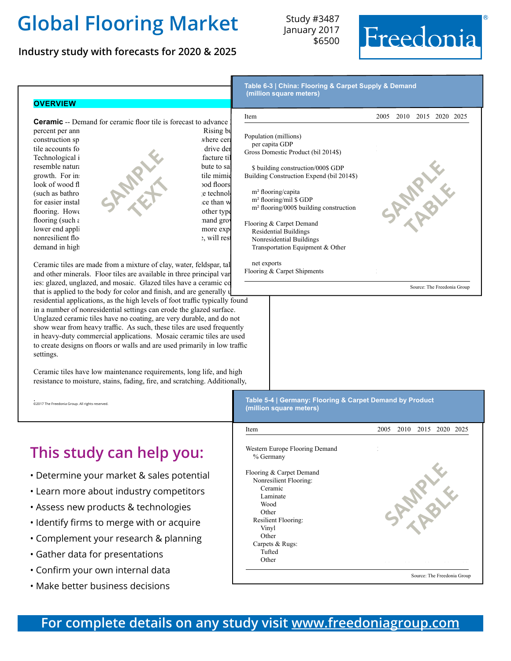**Industry study with forecasts for 2020 & 2025**

Study #3487 January 2017 \$6500





**This study can help you:**

to create designs on floors or walls and are used primarily in low traffic

Ceramic tiles have low maintenance requirements, long life, and high resistance to moisture, stains, fading, fire, and scratching. Additionally,

- Determine your market & sales potential
- Learn more about industry competitors
- Assess new products & technologies
- Identify firms to merge with or acquire
- Complement your research & planning
- Gather data for presentations

settings.

. ©2017 The Freedonia Group. All rights reserved.

- Confirm your own internal data
- Make better business decisions

| Item                                        | 2005 2010 2015 2020 2025 |
|---------------------------------------------|--------------------------|
| Western Europe Flooring Demand<br>% Germany |                          |
| Flooring & Carpet Demand                    |                          |
| Nonresilient Flooring:                      |                          |
| Ceramic                                     |                          |
| Laminate                                    |                          |
| Wood                                        |                          |
| Other                                       |                          |
| Resilient Flooring:                         |                          |
| Vinyl                                       |                          |
| Other                                       |                          |
| Carpets & Rugs:                             |                          |
| Tufted                                      |                          |
| Other                                       |                          |

## **For complete details on any study visit [www.freedoniagroup.com](http://www.freedoniagroup.com/Home.aspx?ReferrerId=FM-BRO)**